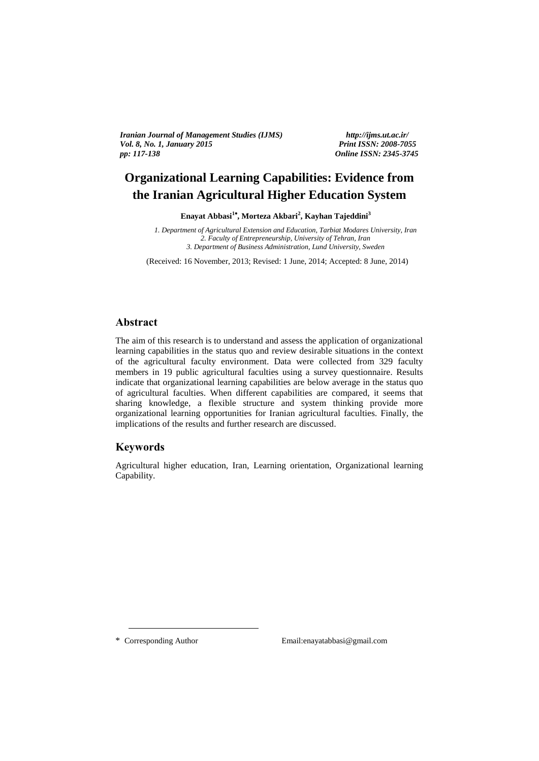*Iranian Journal of Management Studies (IJMS) http://ijms.ut.ac.ir/ Vol. 8, No. 1, January 2015 Print ISSN: 2008-7055 pp: 117-138 Online ISSN: 2345-3745*

# **Organizational Learning Capabilities: Evidence from the Iranian Agricultural Higher Education System**

**Enayat Abbasi<sup>1</sup> , Morteza Akbari<sup>2</sup> , Kayhan Tajeddini<sup>3</sup>**  $\frac{1}{3}$ 

> *1. Department of Agricultural Extension and Education, Tarbiat Modares University, Iran 2. Faculty of Entrepreneurship, University of Tehran, Iran 3. Department of Business Administration, Lund University, Sweden*

(Received: 16 November, 2013; Revised: 1 June, 2014; Accepted: 8 June, 2014)

### **Abstract**

The aim of this research is to understand and assess the application of organizational learning capabilities in the status quo and review desirable situations in the context of the agricultural faculty environment. Data were collected from 329 faculty members in 19 public agricultural faculties using a survey questionnaire. Results indicate that organizational learning capabilities are below average in the status quo of agricultural faculties. When different capabilities are compared, it seems that sharing knowledge, a flexible structure and system thinking provide more organizational learning opportunities for Iranian agricultural faculties. Finally, the implications of the results and further research are discussed.

## **Keywords**

Agricultural higher education, Iran, Learning orientation, Organizational learning Capability.

<u>.</u>

\* Corresponding Author Email:enayatabbasi@gmail.com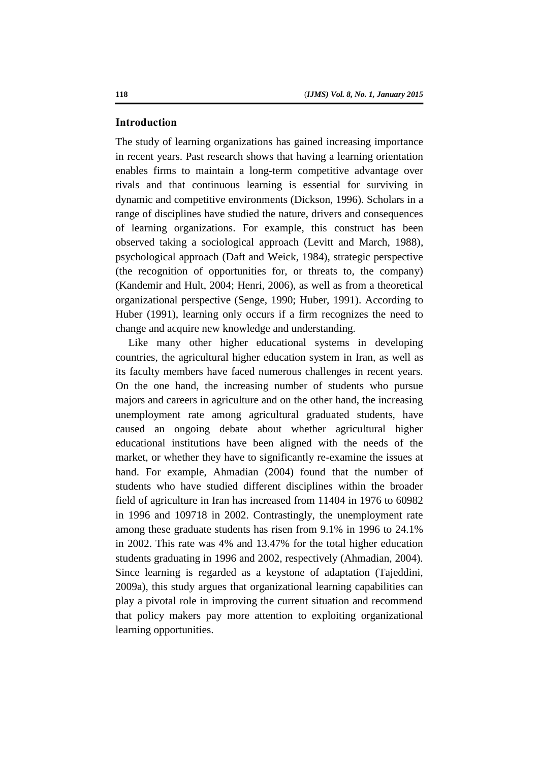### **Introduction**

The study of learning organizations has gained increasing importance in recent years. Past research shows that having a learning orientation enables firms to maintain a long-term competitive advantage over rivals and that continuous learning is essential for surviving in dynamic and competitive environments (Dickson, 1996). Scholars in a range of disciplines have studied the nature, drivers and consequences of learning organizations. For example, this construct has been observed taking a sociological approach (Levitt and March, 1988), psychological approach (Daft and Weick, 1984), strategic perspective (the recognition of opportunities for, or threats to, the company) (Kandemir and Hult, 2004; Henri, 2006), as well as from a theoretical organizational perspective (Senge, 1990; Huber, 1991). According to Huber (1991), learning only occurs if a firm recognizes the need to change and acquire new knowledge and understanding.

Like many other higher educational systems in developing countries, the agricultural higher education system in Iran, as well as its faculty members have faced numerous challenges in recent years. On the one hand, the increasing number of students who pursue majors and careers in agriculture and on the other hand, the increasing unemployment rate among agricultural graduated students, have caused an ongoing debate about whether agricultural higher educational institutions have been aligned with the needs of the market, or whether they have to significantly re-examine the issues at hand. For example, Ahmadian (2004) found that the number of students who have studied different disciplines within the broader field of agriculture in Iran has increased from 11404 in 1976 to 60982 in 1996 and 109718 in 2002. Contrastingly, the unemployment rate among these graduate students has risen from 9.1% in 1996 to 24.1% in 2002. This rate was 4% and 13.47% for the total higher education students graduating in 1996 and 2002, respectively (Ahmadian, 2004). Since learning is regarded as a keystone of adaptation (Tajeddini, 2009a), this study argues that organizational learning capabilities can play a pivotal role in improving the current situation and recommend that policy makers pay more attention to exploiting organizational learning opportunities.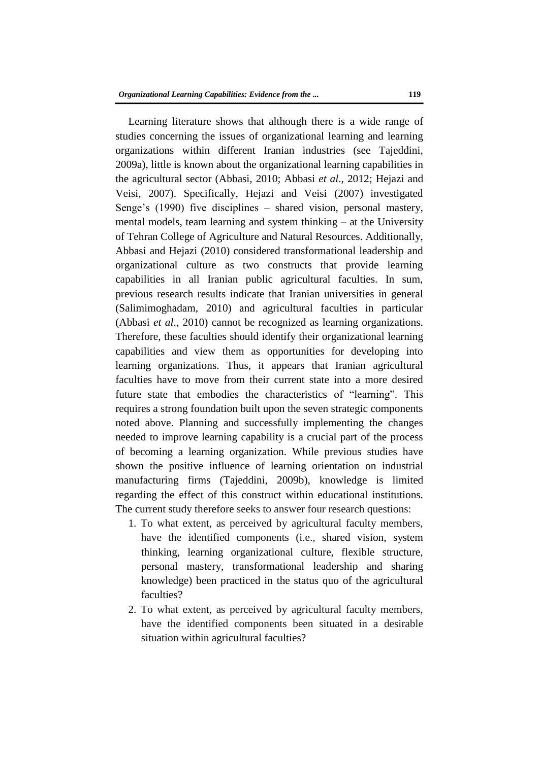Learning literature shows that although there is a wide range of studies concerning the issues of organizational learning and learning organizations within different Iranian industries (see Tajeddini, 2009a), little is known about the organizational learning capabilities in the agricultural sector (Abbasi, 2010; Abbasi *et al*., 2012; Hejazi and Veisi, 2007). Specifically, Hejazi and Veisi (2007) investigated Senge's (1990) five disciplines – shared vision, personal mastery, mental models, team learning and system thinking – at the University of Tehran College of Agriculture and Natural Resources. Additionally, Abbasi and Hejazi (2010) considered transformational leadership and organizational culture as two constructs that provide learning capabilities in all Iranian public agricultural faculties. In sum, previous research results indicate that Iranian universities in general (Salimimoghadam, 2010) and agricultural faculties in particular (Abbasi *et al*., 2010) cannot be recognized as learning organizations. Therefore, these faculties should identify their organizational learning capabilities and view them as opportunities for developing into learning organizations. Thus, it appears that Iranian agricultural faculties have to move from their current state into a more desired future state that embodies the characteristics of "learning". This requires a strong foundation built upon the seven strategic components noted above. Planning and successfully implementing the changes needed to improve learning capability is a crucial part of the process of becoming a learning organization. While previous studies have shown the positive influence of learning orientation on industrial manufacturing firms (Tajeddini, 2009b), knowledge is limited regarding the effect of this construct within educational institutions. The current study therefore seeks to answer four research questions:

- 1. To what extent, as perceived by agricultural faculty members, have the identified components (i.e., shared vision, system thinking, learning organizational culture, flexible structure, personal mastery, transformational leadership and sharing knowledge) been practiced in the status quo of the agricultural faculties?
- 2. To what extent, as perceived by agricultural faculty members, have the identified components been situated in a desirable situation within agricultural faculties?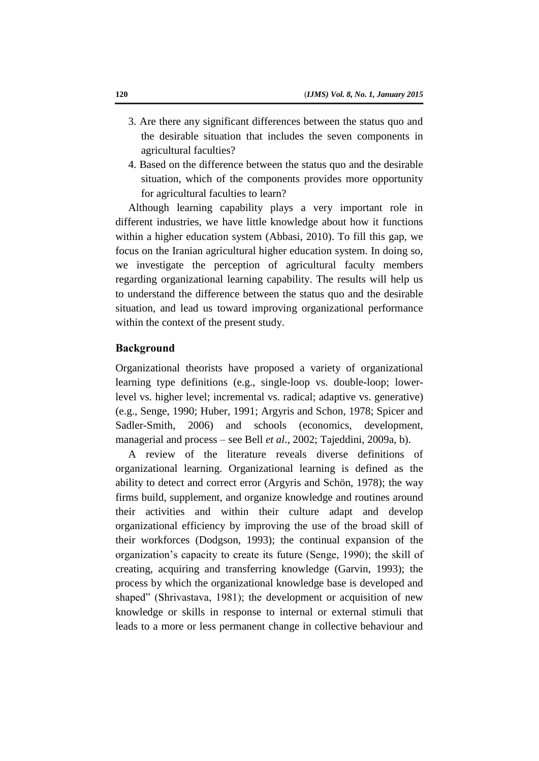- 3. Are there any significant differences between the status quo and the desirable situation that includes the seven components in agricultural faculties?
- 4. Based on the difference between the status quo and the desirable situation, which of the components provides more opportunity for agricultural faculties to learn?

Although learning capability plays a very important role in different industries, we have little knowledge about how it functions within a higher education system (Abbasi, 2010). To fill this gap, we focus on the Iranian agricultural higher education system. In doing so, we investigate the perception of agricultural faculty members regarding organizational learning capability. The results will help us to understand the difference between the status quo and the desirable situation, and lead us toward improving organizational performance within the context of the present study.

## **Background**

Organizational theorists have proposed a variety of organizational learning type definitions (e.g., single-loop vs. double-loop; lowerlevel vs. higher level; incremental vs. radical; adaptive vs. generative) (e.g., Senge, 1990; Huber, 1991; Argyris and Schon, 1978; Spicer and Sadler-Smith, 2006) and schools (economics, development, managerial and process – see Bell *et al*., 2002; Tajeddini, 2009a, b).

A review of the literature reveals diverse definitions of organizational learning. Organizational learning is defined as the ability to detect and correct error (Argyris and Schön, 1978); the way firms build, supplement, and organize knowledge and routines around their activities and within their culture adapt and develop organizational efficiency by improving the use of the broad skill of their workforces (Dodgson, 1993); the continual expansion of the organization's capacity to create its future (Senge, 1990); the skill of creating, acquiring and transferring knowledge (Garvin, 1993); the process by which the organizational knowledge base is developed and shaped" (Shrivastava, 1981); the development or acquisition of new knowledge or skills in response to internal or external stimuli that leads to a more or less permanent change in collective behaviour and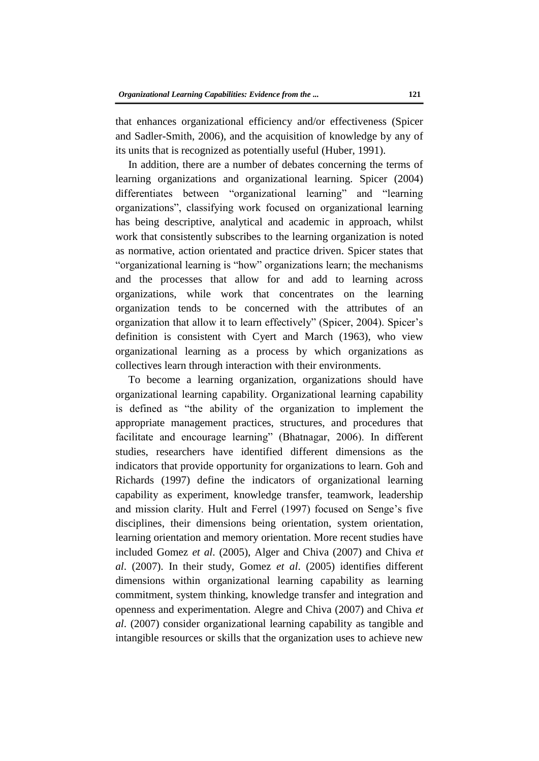that enhances organizational efficiency and/or effectiveness (Spicer and Sadler-Smith, 2006), and the acquisition of knowledge by any of its units that is recognized as potentially useful (Huber, 1991).

In addition, there are a number of debates concerning the terms of learning organizations and organizational learning. Spicer (2004) differentiates between "organizational learning" and "learning organizations", classifying work focused on organizational learning has being descriptive, analytical and academic in approach, whilst work that consistently subscribes to the learning organization is noted as normative, action orientated and practice driven. Spicer states that "organizational learning is "how" organizations learn; the mechanisms and the processes that allow for and add to learning across organizations, while work that concentrates on the learning organization tends to be concerned with the attributes of an organization that allow it to learn effectively" (Spicer, 2004). Spicer's definition is consistent with Cyert and March (1963), who view organizational learning as a process by which organizations as collectives learn through interaction with their environments.

To become a learning organization, organizations should have organizational learning capability. Organizational learning capability is defined as "the ability of the organization to implement the appropriate management practices, structures, and procedures that facilitate and encourage learning" (Bhatnagar, 2006). In different studies, researchers have identified different dimensions as the indicators that provide opportunity for organizations to learn. Goh and Richards (1997) define the indicators of organizational learning capability as experiment, knowledge transfer, teamwork, leadership and mission clarity. Hult and Ferrel (1997) focused on Senge's five disciplines, their dimensions being orientation, system orientation, learning orientation and memory orientation. More recent studies have included Gomez *et al*. (2005), Alger and Chiva (2007) and Chiva *et al*. (2007). In their study, Gomez *et al*. (2005) identifies different dimensions within organizational learning capability as learning commitment, system thinking, knowledge transfer and integration and openness and experimentation. Alegre and Chiva (2007) and Chiva *et al*. (2007) consider organizational learning capability as tangible and intangible resources or skills that the organization uses to achieve new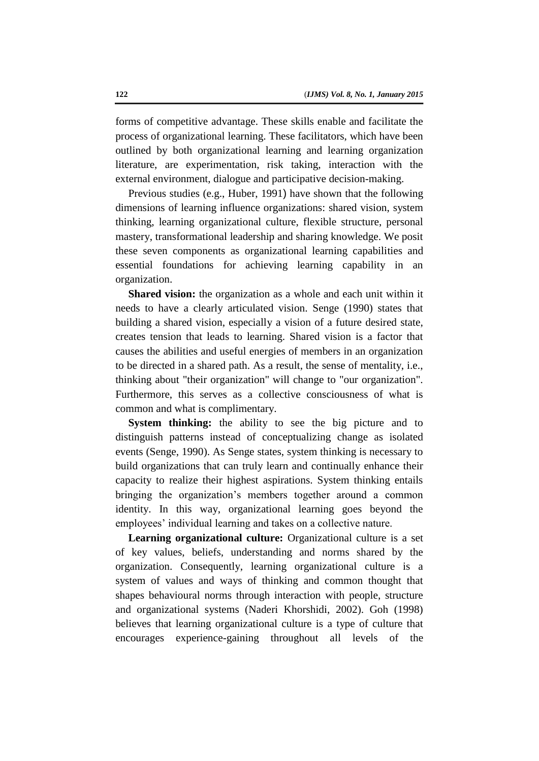forms of competitive advantage. These skills enable and facilitate the process of organizational learning. These facilitators, which have been outlined by both organizational learning and learning organization literature, are experimentation, risk taking, interaction with the external environment, dialogue and participative decision-making.

Previous studies (e.g., Huber, 1991) have shown that the following dimensions of learning influence organizations: shared vision, system thinking, learning organizational culture, flexible structure, personal mastery, transformational leadership and sharing knowledge. We posit these seven components as organizational learning capabilities and essential foundations for achieving learning capability in an organization.

**Shared vision:** the organization as a whole and each unit within it needs to have a clearly articulated vision. Senge (1990) states that building a shared vision, especially a vision of a future desired state, creates tension that leads to learning. Shared vision is a factor that causes the abilities and useful energies of members in an organization to be directed in a shared path. As a result, the sense of mentality, i.e., thinking about "their organization" will change to "our organization". Furthermore, this serves as a collective consciousness of what is common and what is complimentary.

**System thinking:** the ability to see the big picture and to distinguish patterns instead of conceptualizing change as isolated events (Senge, 1990). As Senge states, system thinking is necessary to build organizations that can truly learn and continually enhance their capacity to realize their highest aspirations. System thinking entails bringing the organization's members together around a common identity. In this way, organizational learning goes beyond the employees' individual learning and takes on a collective nature.

**Learning organizational culture:** Organizational culture is a set of key values, beliefs, understanding and norms shared by the organization. Consequently, learning organizational culture is a system of values and ways of thinking and common thought that shapes behavioural norms through interaction with people, structure and organizational systems (Naderi Khorshidi, 2002). Goh (1998) believes that learning organizational culture is a type of culture that encourages experience-gaining throughout all levels of the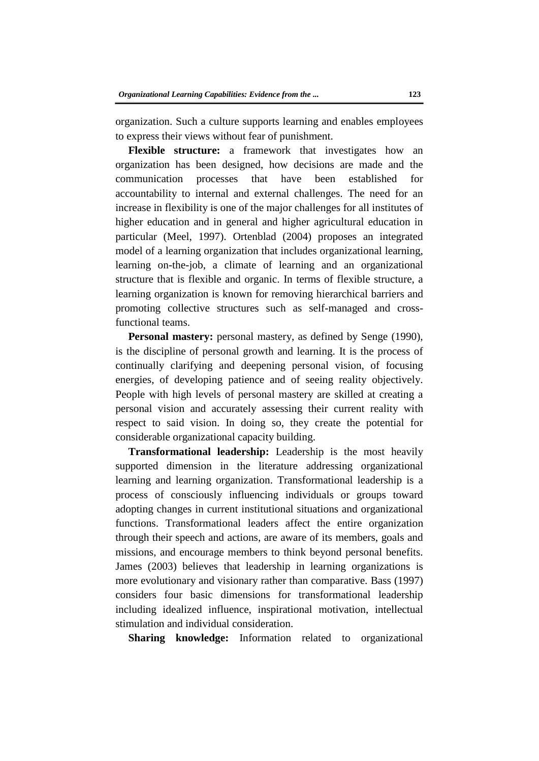organization. Such a culture supports learning and enables employees to express their views without fear of punishment.

**Flexible structure:** a framework that investigates how an organization has been designed, how decisions are made and the communication processes that have been established for accountability to internal and external challenges. The need for an increase in flexibility is one of the major challenges for all institutes of higher education and in general and higher agricultural education in particular (Meel, 1997). Ortenblad (2004) proposes an integrated model of a learning organization that includes organizational learning, learning on-the-job, a climate of learning and an organizational structure that is flexible and organic. In terms of flexible structure, a learning organization is known for removing hierarchical barriers and promoting collective structures such as self-managed and crossfunctional teams.

Personal mastery: personal mastery, as defined by Senge (1990), is the discipline of personal growth and learning. It is the process of continually clarifying and deepening personal vision, of focusing energies, of developing patience and of seeing reality objectively. People with high levels of personal mastery are skilled at creating a personal vision and accurately assessing their current reality with respect to said vision. In doing so, they create the potential for considerable organizational capacity building.

**Transformational leadership:** Leadership is the most heavily supported dimension in the literature addressing organizational learning and learning organization. Transformational leadership is a process of consciously influencing individuals or groups toward adopting changes in current institutional situations and organizational functions. Transformational leaders affect the entire organization through their speech and actions, are aware of its members, goals and missions, and encourage members to think beyond personal benefits. James (2003) believes that leadership in learning organizations is more evolutionary and visionary rather than comparative. Bass (1997) considers four basic dimensions for transformational leadership including idealized influence, inspirational motivation, intellectual stimulation and individual consideration.

**Sharing knowledge:** Information related to organizational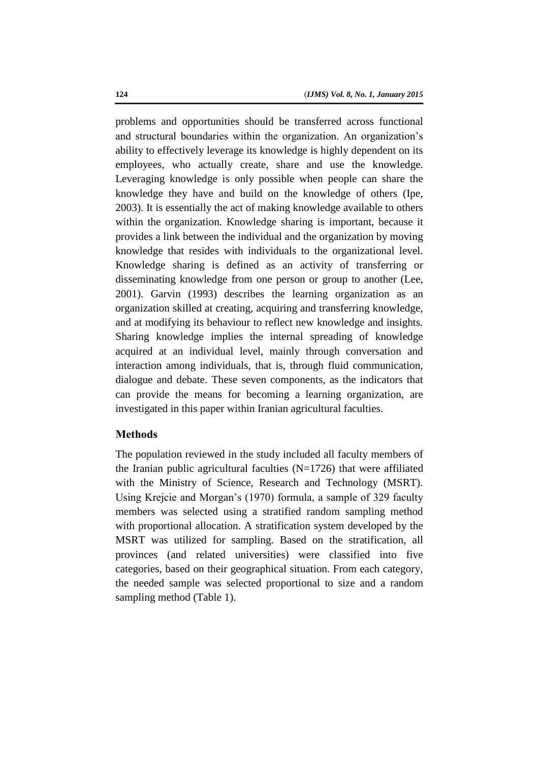problems and opportunities should be transferred across functional and structural boundaries within the organization. An organization's ability to effectively leverage its knowledge is highly dependent on its employees, who actually create, share and use the knowledge. Leveraging knowledge is only possible when people can share the knowledge they have and build on the knowledge of others (Ipe, 2003). It is essentially the act of making knowledge available to others within the organization. Knowledge sharing is important, because it provides a link between the individual and the organization by moving knowledge that resides with individuals to the organizational level. Knowledge sharing is defined as an activity of transferring or disseminating knowledge from one person or group to another (Lee, 2001). Garvin (1993) describes the learning organization as an organization skilled at creating, acquiring and transferring knowledge, and at modifying its behaviour to reflect new knowledge and insights. Sharing knowledge implies the internal spreading of knowledge acquired at an individual level, mainly through conversation and interaction among individuals, that is, through fluid communication, dialogue and debate. These seven components, as the indicators that can provide the means for becoming a learning organization, are investigated in this paper within Iranian agricultural faculties.

# **Methods**

The population reviewed in the study included all faculty members of the Iranian public agricultural faculties  $(N=1726)$  that were affiliated with the Ministry of Science, Research and Technology (MSRT). Using Krejcie and Morgan's (1970) formula, a sample of 329 faculty members was selected using a stratified random sampling method with proportional allocation. A stratification system developed by the MSRT was utilized for sampling. Based on the stratification, all provinces (and related universities) were classified into five categories, based on their geographical situation. From each category, the needed sample was selected proportional to size and a random sampling method (Table 1).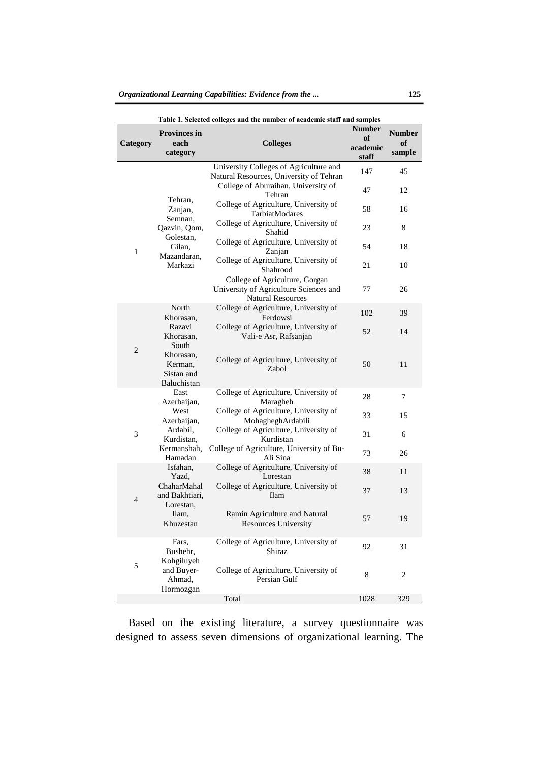| Table 1. Selected colleges and the number of academic staff and samples |                                                                                                |                                                                                                      |                                          |                               |  |  |
|-------------------------------------------------------------------------|------------------------------------------------------------------------------------------------|------------------------------------------------------------------------------------------------------|------------------------------------------|-------------------------------|--|--|
| Category                                                                | <b>Provinces in</b><br>each<br>category                                                        | <b>Colleges</b>                                                                                      | <b>Number</b><br>of<br>academic<br>staff | <b>Number</b><br>of<br>sample |  |  |
|                                                                         |                                                                                                | University Colleges of Agriculture and                                                               | 147                                      | 45                            |  |  |
| 1                                                                       | Tehran,<br>Zanjan,<br>Semnan,<br>Qazvin, Qom,<br>Golestan,<br>Gilan,<br>Mazandaran,<br>Markazi | Natural Resources, University of Tehran<br>College of Aburaihan, University of<br>Tehran             | 47                                       | 12                            |  |  |
|                                                                         |                                                                                                | College of Agriculture, University of<br>TarbiatModares                                              | 58                                       | 16                            |  |  |
|                                                                         |                                                                                                | College of Agriculture, University of<br>Shahid                                                      | 23                                       | 8                             |  |  |
|                                                                         |                                                                                                | College of Agriculture, University of<br>Zanjan                                                      | 54                                       | 18                            |  |  |
|                                                                         |                                                                                                | College of Agriculture, University of<br>Shahrood                                                    | 21                                       | 10                            |  |  |
|                                                                         |                                                                                                | College of Agriculture, Gorgan<br>University of Agriculture Sciences and<br><b>Natural Resources</b> | 77                                       | 26                            |  |  |
| $\overline{c}$                                                          | North<br>Khorasan,                                                                             | College of Agriculture, University of<br>Ferdowsi                                                    | 102                                      | 39                            |  |  |
|                                                                         | Razavi<br>Khorasan,<br>South                                                                   | College of Agriculture, University of<br>Vali-e Asr, Rafsanjan                                       | 52                                       | 14                            |  |  |
|                                                                         | Khorasan,<br>Kerman,<br>Sistan and<br>Baluchistan                                              | College of Agriculture, University of<br>Zabol                                                       | 50                                       | 11                            |  |  |
|                                                                         | East<br>Azerbaijan,                                                                            | College of Agriculture, University of<br>Maragheh                                                    | 28                                       | 7                             |  |  |
|                                                                         | West<br>Azerbaijan,                                                                            | College of Agriculture, University of<br>MohagheghArdabili                                           | 33                                       | 15                            |  |  |
| 3                                                                       | Ardabil,<br>Kurdistan,                                                                         | College of Agriculture, University of<br>Kurdistan                                                   | 31                                       | 6                             |  |  |
|                                                                         | Kermanshah,<br>Hamadan                                                                         | College of Agriculture, University of Bu-<br>Ali Sina                                                | 73                                       | 26                            |  |  |
| $\overline{4}$                                                          | Isfahan,<br>Yazd,                                                                              | College of Agriculture, University of<br>Lorestan                                                    | 38                                       | 11                            |  |  |
|                                                                         | ChaharMahal<br>and Bakhtiari,<br>Lorestan,                                                     | College of Agriculture, University of<br><b>Ilam</b>                                                 | 37                                       | 13                            |  |  |
|                                                                         | Ilam,<br>Khuzestan                                                                             | Ramin Agriculture and Natural<br>Resources University                                                | 57                                       | 19                            |  |  |
| 5                                                                       | Fars.<br>Bushehr,<br>Kohgiluyeh                                                                | College of Agriculture, University of<br>Shiraz                                                      | 92                                       | 31                            |  |  |
|                                                                         | and Buyer-<br>Ahmad,<br>Hormozgan                                                              | College of Agriculture, University of<br>Persian Gulf                                                | 8                                        | 2                             |  |  |
|                                                                         |                                                                                                | Total                                                                                                | 1028                                     | 329                           |  |  |

Based on the existing literature, a survey questionnaire was designed to assess seven dimensions of organizational learning. The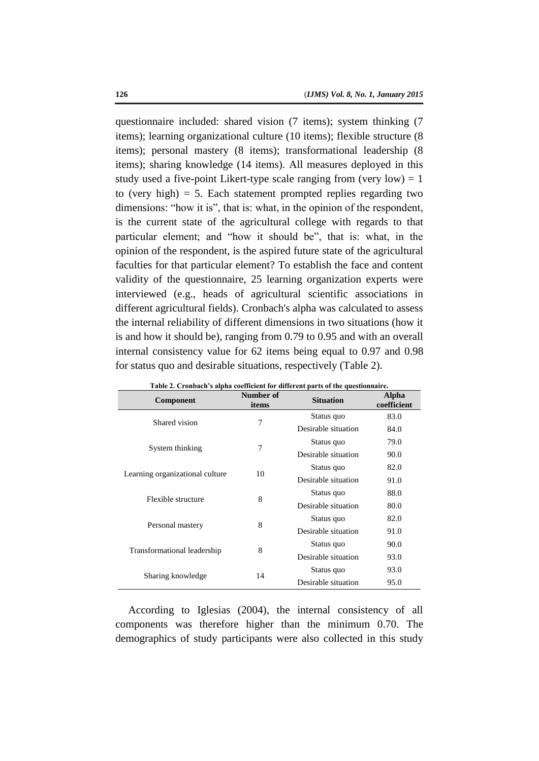questionnaire included: shared vision (7 items); system thinking (7 items); learning organizational culture (10 items); flexible structure (8 items); personal mastery (8 items); transformational leadership (8 items); sharing knowledge (14 items). All measures deployed in this study used a five-point Likert-type scale ranging from (very low) = 1 to (very high)  $= 5$ . Each statement prompted replies regarding two dimensions: "how it is", that is: what, in the opinion of the respondent, is the current state of the agricultural college with regards to that particular element; and "how it should be", that is: what, in the opinion of the respondent, is the aspired future state of the agricultural faculties for that particular element? To establish the face and content validity of the questionnaire, 25 learning organization experts were interviewed (e.g., heads of agricultural scientific associations in different agricultural fields). Cronbach's alpha was calculated to assess the internal reliability of different dimensions in two situations (how it is and how it should be), ranging from 0.79 to 0.95 and with an overall internal consistency value for 62 items being equal to 0.97 and 0.98 for status quo and desirable situations, respectively (Table 2).

| Component                       | Number of<br>items | <b>Situation</b>    | Alpha<br>coefficient |
|---------------------------------|--------------------|---------------------|----------------------|
| Shared vision                   | 7                  | Status quo          | 83.0                 |
|                                 |                    | Desirable situation | 84.0                 |
|                                 | 7                  | Status quo          | 79.0                 |
| System thinking                 |                    | Desirable situation | 90.0                 |
|                                 | 10                 | Status quo          | 82.0                 |
| Learning organizational culture |                    | Desirable situation | 91.0                 |
| Flexible structure              | 8                  | Status quo          | 88.0                 |
|                                 |                    | Desirable situation | 80.0                 |
|                                 | 8                  | Status quo          | 82.0                 |
| Personal mastery                |                    | Desirable situation | 91.0                 |
|                                 | 8                  | Status quo          | 90.0                 |
| Transformational leadership     |                    | Desirable situation | 93.0                 |
|                                 | 14                 | Status quo          | 93.0                 |
| Sharing knowledge               |                    | Desirable situation | 95.0                 |

**Table 2. Cronbach's alpha coefficient for different parts of the questionnaire.**

According to Iglesias (2004), the internal consistency of all components was therefore higher than the minimum 0.70. The demographics of study participants were also collected in this study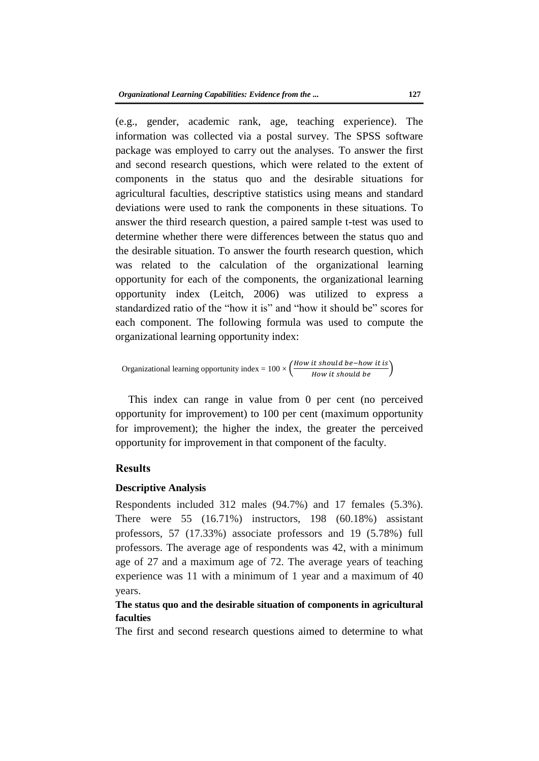(e.g., gender, academic rank, age, teaching experience). The information was collected via a postal survey. The SPSS software package was employed to carry out the analyses. To answer the first and second research questions, which were related to the extent of components in the status quo and the desirable situations for agricultural faculties, descriptive statistics using means and standard deviations were used to rank the components in these situations. To answer the third research question, a paired sample t-test was used to determine whether there were differences between the status quo and the desirable situation. To answer the fourth research question, which was related to the calculation of the organizational learning opportunity for each of the components, the organizational learning opportunity index (Leitch, 2006) was utilized to express a standardized ratio of the "how it is" and "how it should be" scores for each component. The following formula was used to compute the organizational learning opportunity index:

Organizational learning opportunity index = 
$$
100 \times \left(\frac{How it should be - how it is}{How it should be}\right)
$$

This index can range in value from 0 per cent (no perceived opportunity for improvement) to 100 per cent (maximum opportunity for improvement); the higher the index, the greater the perceived opportunity for improvement in that component of the faculty.

#### **Results**

#### **Descriptive Analysis**

Respondents included 312 males (94.7%) and 17 females (5.3%). There were 55 (16.71%) instructors, 198 (60.18%) assistant professors, 57 (17.33%) associate professors and 19 (5.78%) full professors. The average age of respondents was 42, with a minimum age of 27 and a maximum age of 72. The average years of teaching experience was 11 with a minimum of 1 year and a maximum of 40 years.

# **The status quo and the desirable situation of components in agricultural faculties**

The first and second research questions aimed to determine to what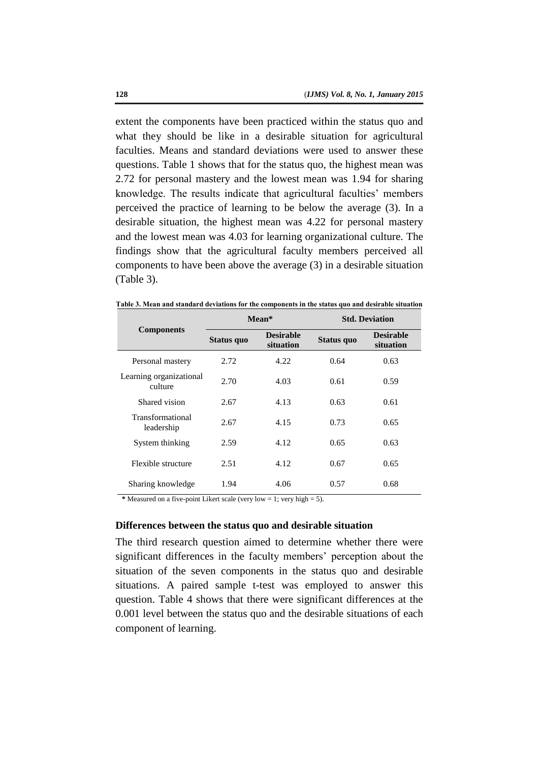extent the components have been practiced within the status quo and what they should be like in a desirable situation for agricultural faculties. Means and standard deviations were used to answer these questions. Table 1 shows that for the status quo, the highest mean was 2.72 for personal mastery and the lowest mean was 1.94 for sharing knowledge. The results indicate that agricultural faculties' members perceived the practice of learning to be below the average (3). In a desirable situation, the highest mean was 4.22 for personal mastery and the lowest mean was 4.03 for learning organizational culture. The findings show that the agricultural faculty members perceived all components to have been above the average (3) in a desirable situation (Table 3).

|                                    | Mean*      |                               | <b>Std. Deviation</b> |                               |  |
|------------------------------------|------------|-------------------------------|-----------------------|-------------------------------|--|
| <b>Components</b>                  | Status quo | <b>Desirable</b><br>situation | Status quo            | <b>Desirable</b><br>situation |  |
| Personal mastery                   | 2.72       | 4.22                          | 0.64                  | 0.63                          |  |
| Learning organizational<br>culture | 2.70       | 4.03                          | 0.61                  | 0.59                          |  |
| Shared vision                      | 2.67       | 4.13                          | 0.63                  | 0.61                          |  |
| Transformational<br>leadership     | 2.67       | 4.15                          | 0.73                  | 0.65                          |  |
| System thinking                    | 2.59       | 4.12                          | 0.65                  | 0.63                          |  |
| Flexible structure                 | 2.51       | 4.12                          | 0.67                  | 0.65                          |  |
| Sharing knowledge                  | 1.94       | 4.06                          | 0.57                  | 0.68                          |  |

**Table 3. Mean and standard deviations for the components in the status quo and desirable situation**

**\*** Measured on a five-point Likert scale (very low = 1; very high = 5).

#### **Differences between the status quo and desirable situation**

The third research question aimed to determine whether there were significant differences in the faculty members' perception about the situation of the seven components in the status quo and desirable situations. A paired sample t-test was employed to answer this question. Table 4 shows that there were significant differences at the 0.001 level between the status quo and the desirable situations of each component of learning.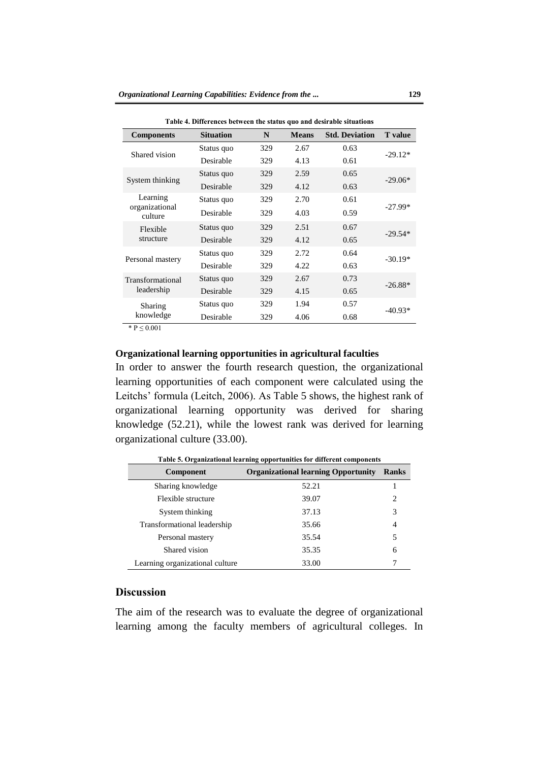| Table 4. Differences between the status quo and desirable situations |     |              |                       |                |
|----------------------------------------------------------------------|-----|--------------|-----------------------|----------------|
| <b>Situation</b>                                                     | N   | <b>Means</b> | <b>Std. Deviation</b> | <b>T</b> value |
| Status quo                                                           | 329 | 2.67         | 0.63                  | $-29.12*$      |
| Desirable                                                            | 329 | 4.13         | 0.61                  |                |
| Status quo                                                           | 329 | 2.59         | 0.65                  |                |
| Desirable                                                            | 329 | 4.12         | 0.63                  | $-29.06*$      |
| Status quo                                                           | 329 | 2.70         | 0.61                  | $-27.99*$      |
| Desirable                                                            | 329 | 4.03         | 0.59                  |                |
| Status quo                                                           | 329 | 2.51         | 0.67                  | $-29.54*$      |
| Desirable                                                            | 329 | 4.12         | 0.65                  |                |
| Status quo                                                           | 329 | 2.72         | 0.64                  | $-30.19*$      |
| Desirable                                                            | 329 | 4.22         | 0.63                  |                |
| Status quo                                                           | 329 | 2.67         | 0.73                  | $-26.88*$      |
| Desirable                                                            | 329 | 4.15         | 0.65                  |                |
| Status quo                                                           | 329 | 1.94         | 0.57                  | $-40.93*$      |
| Desirable                                                            | 329 | 4.06         | 0.68                  |                |
|                                                                      |     |              |                       |                |

\*  $P \le 0.001$ 

### **Organizational learning opportunities in agricultural faculties**

In order to answer the fourth research question, the organizational learning opportunities of each component were calculated using the Leitchs' formula (Leitch, 2006). As Table 5 shows, the highest rank of organizational learning opportunity was derived for sharing knowledge (52.21), while the lowest rank was derived for learning organizational culture (33.00).

| Component                       | <b>Organizational learning Opportunity</b> | <b>Ranks</b> |  |  |
|---------------------------------|--------------------------------------------|--------------|--|--|
| Sharing knowledge               | 52.21                                      |              |  |  |
| Flexible structure              | 39.07                                      | 2            |  |  |
| System thinking                 | 37.13                                      | 3            |  |  |
| Transformational leadership     | 35.66                                      | 4            |  |  |
| Personal mastery                | 35.54                                      | 5            |  |  |
| Shared vision                   | 35.35                                      | 6            |  |  |
| Learning organizational culture | 33.00                                      |              |  |  |

**Table 5. Organizational learning opportunities for different components**

# **Discussion**

The aim of the research was to evaluate the degree of organizational learning among the faculty members of agricultural colleges. In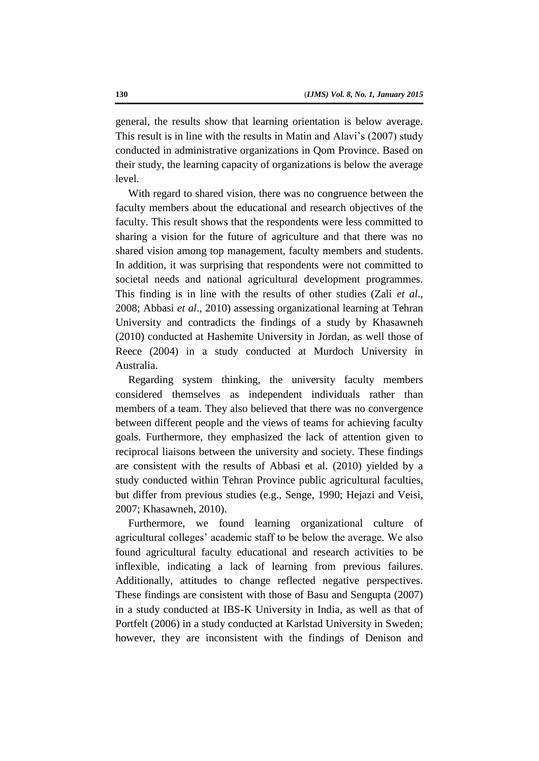general, the results show that learning orientation is below average. This result is in line with the results in Matin and Alavi's (2007) study conducted in administrative organizations in Qom Province. Based on their study, the learning capacity of organizations is below the average level.

With regard to shared vision, there was no congruence between the faculty members about the educational and research objectives of the faculty. This result shows that the respondents were less committed to sharing a vision for the future of agriculture and that there was no shared vision among top management, faculty members and students. In addition, it was surprising that respondents were not committed to societal needs and national agricultural development programmes. This finding is in line with the results of other studies (Zali *et al*., 2008; Abbasi *et al*., 2010) assessing organizational learning at Tehran University and contradicts the findings of a study by Khasawneh (2010) conducted at Hashemite University in Jordan, as well those of Reece (2004) in a study conducted at Murdoch University in Australia.

Regarding system thinking, the university faculty members considered themselves as independent individuals rather than members of a team. They also believed that there was no convergence between different people and the views of teams for achieving faculty goals. Furthermore, they emphasized the lack of attention given to reciprocal liaisons between the university and society. These findings are consistent with the results of Abbasi et al. (2010) yielded by a study conducted within Tehran Province public agricultural faculties, but differ from previous studies (e.g., Senge, 1990; Hejazi and Veisi, 2007; Khasawneh, 2010).

Furthermore, we found learning organizational culture of agricultural colleges' academic staff to be below the average. We also found agricultural faculty educational and research activities to be inflexible, indicating a lack of learning from previous failures. Additionally, attitudes to change reflected negative perspectives. These findings are consistent with those of Basu and Sengupta (2007) in a study conducted at IBS-K University in India, as well as that of Portfelt (2006) in a study conducted at Karlstad University in Sweden; however, they are inconsistent with the findings of Denison and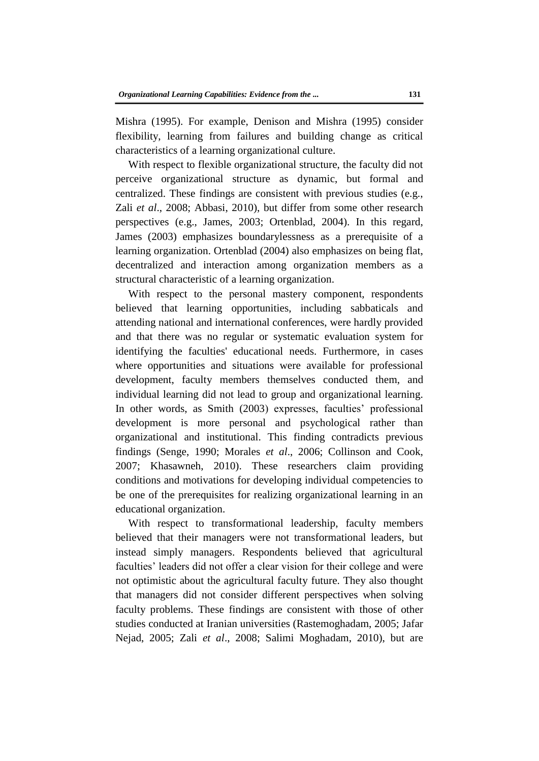Mishra (1995). For example, Denison and Mishra (1995) consider flexibility, learning from failures and building change as critical characteristics of a learning organizational culture.

With respect to flexible organizational structure, the faculty did not perceive organizational structure as dynamic, but formal and centralized. These findings are consistent with previous studies (e.g., Zali *et al*., 2008; Abbasi, 2010), but differ from some other research perspectives (e.g., James, 2003; Ortenblad, 2004). In this regard, James (2003) emphasizes boundarylessness as a prerequisite of a learning organization. Ortenblad (2004) also emphasizes on being flat, decentralized and interaction among organization members as a structural characteristic of a learning organization.

With respect to the personal mastery component, respondents believed that learning opportunities, including sabbaticals and attending national and international conferences, were hardly provided and that there was no regular or systematic evaluation system for identifying the faculties' educational needs. Furthermore, in cases where opportunities and situations were available for professional development, faculty members themselves conducted them, and individual learning did not lead to group and organizational learning. In other words, as Smith (2003) expresses, faculties' professional development is more personal and psychological rather than organizational and institutional. This finding contradicts previous findings (Senge, 1990; Morales *et al*., 2006; Collinson and Cook, 2007; Khasawneh, 2010). These researchers claim providing conditions and motivations for developing individual competencies to be one of the prerequisites for realizing organizational learning in an educational organization.

With respect to transformational leadership, faculty members believed that their managers were not transformational leaders, but instead simply managers. Respondents believed that agricultural faculties' leaders did not offer a clear vision for their college and were not optimistic about the agricultural faculty future. They also thought that managers did not consider different perspectives when solving faculty problems. These findings are consistent with those of other studies conducted at Iranian universities (Rastemoghadam, 2005; Jafar Nejad, 2005; Zali *et al*., 2008; Salimi Moghadam, 2010), but are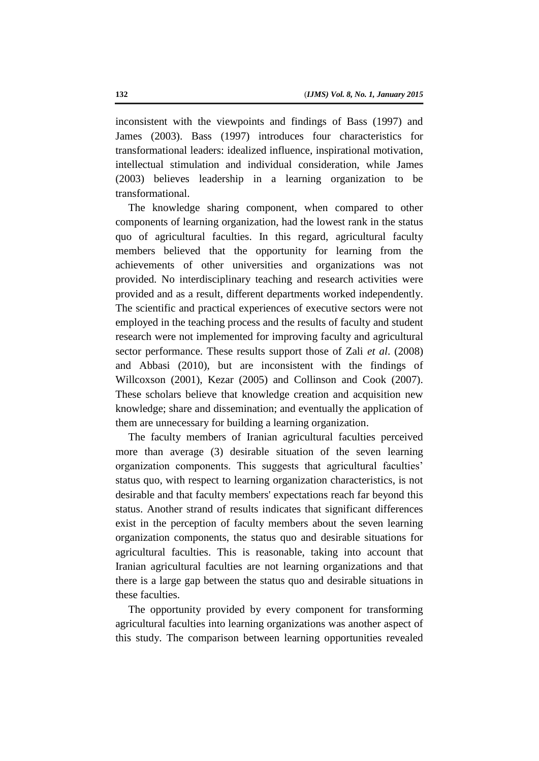inconsistent with the viewpoints and findings of Bass (1997) and James (2003). Bass (1997) introduces four characteristics for transformational leaders: idealized influence, inspirational motivation, intellectual stimulation and individual consideration, while James (2003) believes leadership in a learning organization to be transformational.

The knowledge sharing component, when compared to other components of learning organization, had the lowest rank in the status quo of agricultural faculties. In this regard, agricultural faculty members believed that the opportunity for learning from the achievements of other universities and organizations was not provided. No interdisciplinary teaching and research activities were provided and as a result, different departments worked independently. The scientific and practical experiences of executive sectors were not employed in the teaching process and the results of faculty and student research were not implemented for improving faculty and agricultural sector performance. These results support those of Zali *et al*. (2008) and Abbasi (2010), but are inconsistent with the findings of Willcoxson (2001), Kezar (2005) and Collinson and Cook (2007). These scholars believe that knowledge creation and acquisition new knowledge; share and dissemination; and eventually the application of them are unnecessary for building a learning organization.

The faculty members of Iranian agricultural faculties perceived more than average (3) desirable situation of the seven learning organization components. This suggests that agricultural faculties' status quo, with respect to learning organization characteristics, is not desirable and that faculty members' expectations reach far beyond this status. Another strand of results indicates that significant differences exist in the perception of faculty members about the seven learning organization components, the status quo and desirable situations for agricultural faculties. This is reasonable, taking into account that Iranian agricultural faculties are not learning organizations and that there is a large gap between the status quo and desirable situations in these faculties.

The opportunity provided by every component for transforming agricultural faculties into learning organizations was another aspect of this study. The comparison between learning opportunities revealed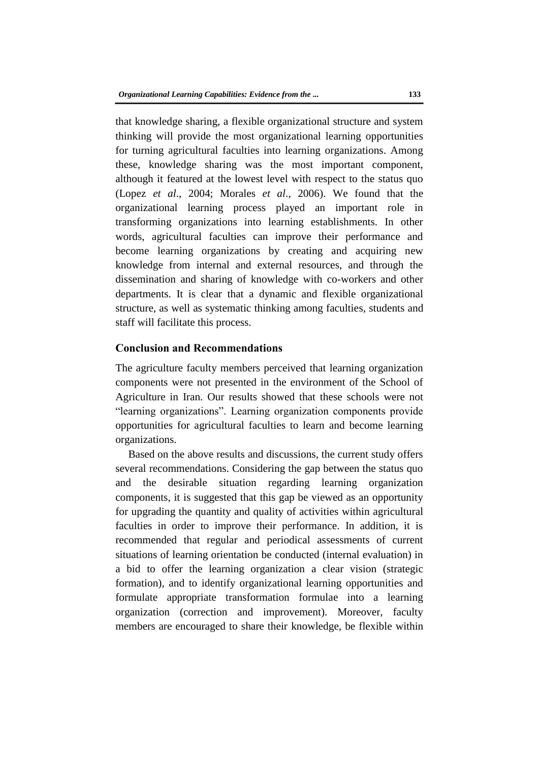that knowledge sharing, a flexible organizational structure and system thinking will provide the most organizational learning opportunities for turning agricultural faculties into learning organizations. Among these, knowledge sharing was the most important component, although it featured at the lowest level with respect to the status quo (Lopez *et al*., 2004; Morales *et al*., 2006). We found that the organizational learning process played an important role in transforming organizations into learning establishments. In other words, agricultural faculties can improve their performance and become learning organizations by creating and acquiring new knowledge from internal and external resources, and through the dissemination and sharing of knowledge with co-workers and other departments. It is clear that a dynamic and flexible organizational structure, as well as systematic thinking among faculties, students and staff will facilitate this process.

# **Conclusion and Recommendations**

The agriculture faculty members perceived that learning organization components were not presented in the environment of the School of Agriculture in Iran. Our results showed that these schools were not "learning organizations". Learning organization components provide opportunities for agricultural faculties to learn and become learning organizations.

Based on the above results and discussions, the current study offers several recommendations. Considering the gap between the status quo and the desirable situation regarding learning organization components, it is suggested that this gap be viewed as an opportunity for upgrading the quantity and quality of activities within agricultural faculties in order to improve their performance. In addition, it is recommended that regular and periodical assessments of current situations of learning orientation be conducted (internal evaluation) in a bid to offer the learning organization a clear vision (strategic formation), and to identify organizational learning opportunities and formulate appropriate transformation formulae into a learning organization (correction and improvement). Moreover, faculty members are encouraged to share their knowledge, be flexible within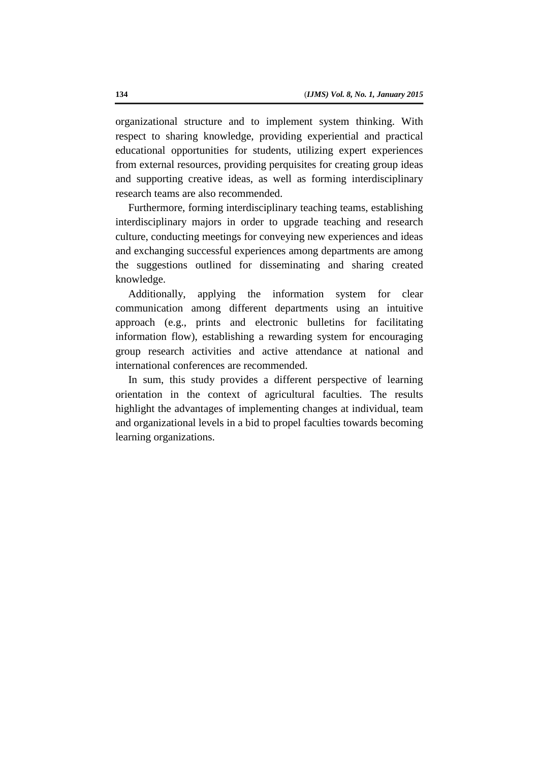organizational structure and to implement system thinking. With respect to sharing knowledge, providing experiential and practical educational opportunities for students, utilizing expert experiences from external resources, providing perquisites for creating group ideas and supporting creative ideas, as well as forming interdisciplinary research teams are also recommended.

Furthermore, forming interdisciplinary teaching teams, establishing interdisciplinary majors in order to upgrade teaching and research culture, conducting meetings for conveying new experiences and ideas and exchanging successful experiences among departments are among the suggestions outlined for disseminating and sharing created knowledge.

Additionally, applying the information system for clear communication among different departments using an intuitive approach (e.g., prints and electronic bulletins for facilitating information flow), establishing a rewarding system for encouraging group research activities and active attendance at national and international conferences are recommended.

In sum, this study provides a different perspective of learning orientation in the context of agricultural faculties. The results highlight the advantages of implementing changes at individual, team and organizational levels in a bid to propel faculties towards becoming learning organizations.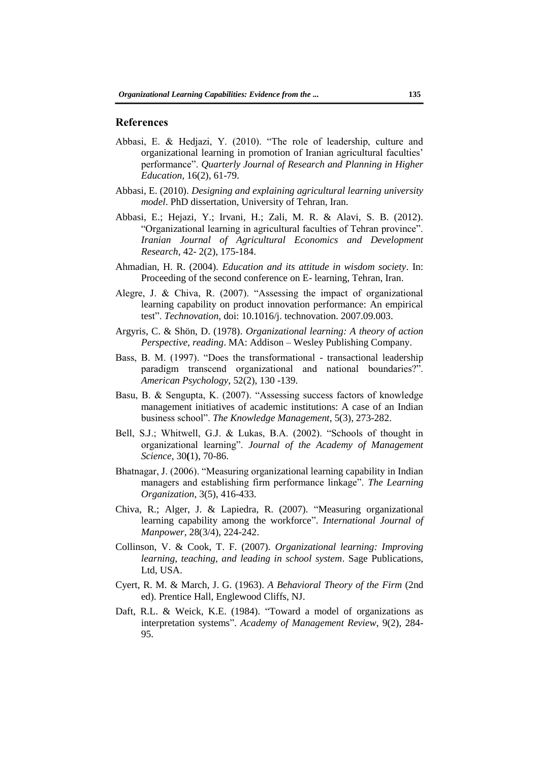#### **References**

- Abbasi, E. & Hedjazi, Y. (2010). "The role of leadership, culture and organizational learning in promotion of Iranian agricultural faculties' performance". *Quarterly Journal of Research and Planning in Higher Education*, 16(2), 61-79.
- Abbasi, E. (2010). *Designing and explaining agricultural learning university model*. PhD dissertation, University of Tehran, Iran.
- Abbasi, E.; Hejazi, Y.; Irvani, H.; Zali, M. R. & Alavi, S. B. (2012). "Organizational learning in agricultural faculties of Tehran province". *Iranian Journal of Agricultural Economics and Development Research*, 42- 2(2), 175-184.
- Ahmadian, H. R. (2004). *Education and its attitude in wisdom society*. In: Proceeding of the second conference on E- learning, Tehran, Iran.
- Alegre, J. & Chiva, R. (2007). "Assessing the impact of organizational learning capability on product innovation performance: An empirical test". *Technovation*, doi: 10.1016/j. technovation. 2007.09.003.
- Argyris, C. & Shön, D. (1978). *Organizational learning: A theory of action Perspective, reading*. MA: Addison – Wesley Publishing Company.
- Bass, B. M. (1997). "Does the transformational transactional leadership paradigm transcend organizational and national boundaries?". *American Psychology*, 52(2), 130 -139.
- Basu, B. & Sengupta, K. (2007). "Assessing success factors of knowledge management initiatives of academic institutions: A case of an Indian business school". *The Knowledge Management*, 5(3), 273-282.
- Bell, S.J.; Whitwell, G.J. & Lukas, B.A. (2002). "Schools of thought in organizational learning". *Journal of the Academy of Management Science*, 30**(**1), 70-86.
- Bhatnagar, J. (2006). "Measuring organizational learning capability in Indian managers and establishing firm performance linkage". *The Learning Organization*, 3(5), 416-433.
- Chiva, R.; Alger, J. & Lapiedra, R. (2007). "Measuring organizational learning capability among the workforce". *International Journal of Manpower*, 28(3/4), 224-242.
- Collinson, V. & Cook, T. F. (2007). *Organizational learning: Improving learning, teaching, and leading in school system*. Sage Publications, Ltd, USA.
- Cyert, R. M. & March, J. G. (1963). *A Behavioral Theory of the Firm* (2nd ed). Prentice Hall, Englewood Cliffs, NJ.
- Daft, R.L. & Weick, K.E. (1984). "Toward a model of organizations as interpretation systems". *Academy of Management Review*, 9(2), 284- 95.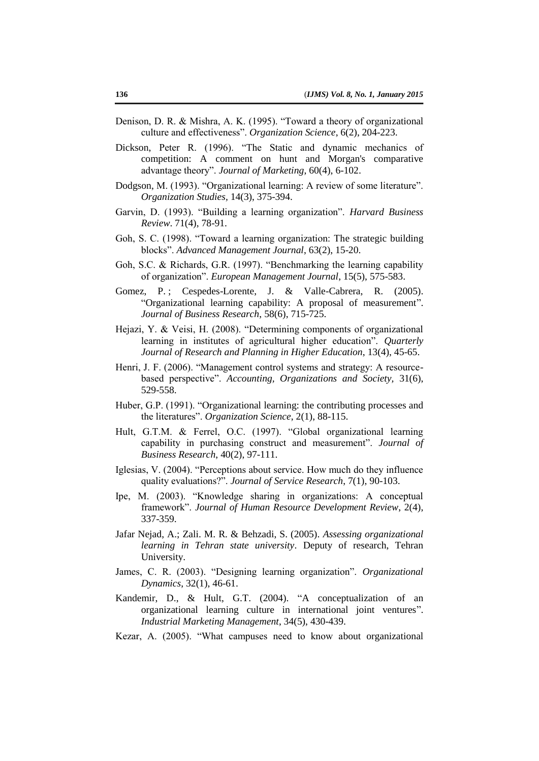- Denison, D. R. & Mishra, A. K. (1995). "Toward a theory of organizational culture and effectiveness". *Organization Science*, 6(2), 204-223.
- Dickson, Peter R. (1996). "The Static and dynamic mechanics of competition: A comment on hunt and Morgan's comparative advantage theory". *Journal of Marketing*, 60(4), 6-102.
- Dodgson, M. (1993). "Organizational learning: A review of some literature". *Organization Studies,* 14(3), 375-394.
- Garvin, D. (1993). "Building a learning organization". *Harvard Business Review*. 71(4), 78-91.
- Goh, S. C. (1998). "Toward a learning organization: The strategic building blocks". *Advanced Management Journal*, 63(2), 15-20.
- Goh, S.C. & Richards, G.R. (1997). "Benchmarking the learning capability of organization". *European Management Journal*, 15(5), 575-583.
- Gomez, P.; Cespedes-Lorente, J. & Valle-Cabrera, R. (2005). "Organizational learning capability: A proposal of measurement". *Journal of Business Research*, 58(6), 715-725.
- Hejazi, Y. & Veisi, H. (2008). "Determining components of organizational learning in institutes of agricultural higher education". *Quarterly Journal of Research and Planning in Higher Education*, 13(4), 45-65.
- Henri, J. F. (2006). "Management control systems and strategy: A resourcebased perspective". *Accounting, Organizations and Society,* 31(6), 529-558.
- Huber, G.P. (1991). "Organizational learning: the contributing processes and the literatures". *Organization Science*, 2(1), 88-115.
- Hult, G.T.M. & Ferrel, O.C. (1997). "Global organizational learning capability in purchasing construct and measurement". *Journal of Business Research*, 40(2), 97-111.
- Iglesias, V. (2004). "Perceptions about service. How much do they influence quality evaluations?". *Journal of Service Research*, 7(1), 90-103.
- Ipe, M. (2003). "Knowledge sharing in organizations: A conceptual framework". *Journal of Human Resource Development Review*, 2(4), 337-359.
- Jafar Nejad, A.; Zali. M. R. & Behzadi, S. (2005). *Assessing organizational learning in Tehran state university*. Deputy of research, Tehran University.
- James, C. R. (2003). "Designing learning organization". *Organizational Dynamics*, 32(1), 46-61.
- Kandemir, D., & Hult, G.T. (2004). "A conceptualization of an organizational learning culture in international joint ventures". *Industrial Marketing Management*, 34(5), 430-439.
- Kezar, A. (2005). "What campuses need to know about organizational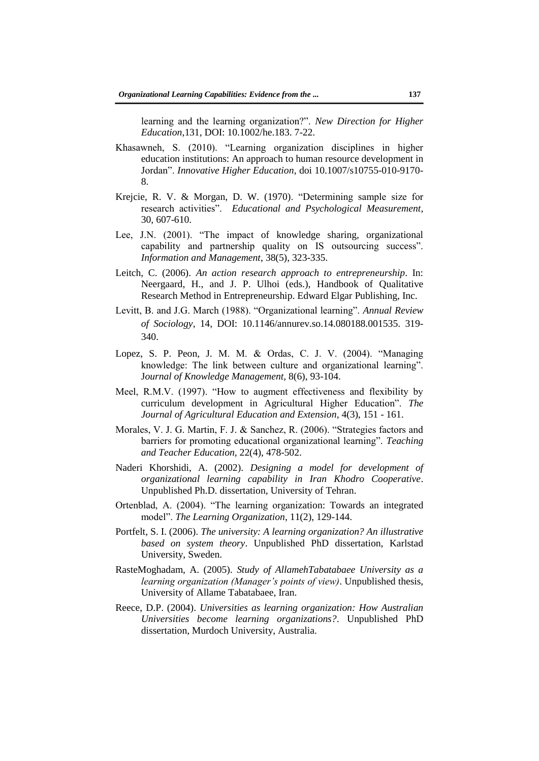learning and the learning organization?". *New Direction for Higher Education*,131, DOI: 10.1002/he.183. 7-22.

- Khasawneh, S. (2010). "Learning organization disciplines in higher education institutions: An approach to human resource development in Jordan". *Innovative Higher Education*, doi 10.1007/s10755-010-9170- 8.
- Krejcie, R. V. & Morgan, D. W. (1970). "Determining sample size for research activities". *Educational and Psychological Measurement*, 30, 607-610.
- Lee, J.N. (2001). "The impact of knowledge sharing, organizational capability and partnership quality on IS outsourcing success". *Information and Management*, 38(5), 323-335.
- Leitch, C. (2006). *An action research approach to entrepreneurship*. In: Neergaard, H., and J. P. Ulhoi (eds.), Handbook of Qualitative Research Method in Entrepreneurship. Edward Elgar Publishing, Inc.
- Levitt, B. and J.G. March (1988). "Organizational learning". *Annual Review of Sociology*, 14, DOI: 10.1146/annurev.so.14.080188.001535. 319- 340.
- Lopez, S. P. Peon, J. M. M. & Ordas, C. J. V. (2004). "Managing knowledge: The link between culture and organizational learning". J*ournal of Knowledge Management*, 8(6), 93-104.
- Meel, R.M.V. (1997). "How to augment effectiveness and flexibility by curriculum development in Agricultural Higher Education". *The Journal of Agricultural Education and Extension*, 4(3), 151 - 161.
- Morales, V. J. G. Martin, F. J. & Sanchez, R. (2006). "Strategies factors and barriers for promoting educational organizational learning". *Teaching and Teacher Education*, 22(4), 478-502.
- Naderi Khorshidi, A. (2002). *Designing a model for development of organizational learning capability in Iran Khodro Cooperative*. Unpublished Ph.D. dissertation, University of Tehran.
- Ortenblad, A. (2004). "The learning organization: Towards an integrated model". *The Learning Organization*, 11(2), 129-144.
- Portfelt, S. I. (2006). *The university: A learning organization? An illustrative based on system theory*. Unpublished PhD dissertation, Karlstad University, Sweden.
- RasteMoghadam, A. (2005). *Study of AllamehTabatabaee University as a learning organization (Manager's points of view)*. Unpublished thesis, University of Allame Tabatabaee, Iran.
- Reece, D.P. (2004). *Universities as learning organization: How Australian Universities become learning organizations?*. Unpublished PhD dissertation, Murdoch University, Australia.